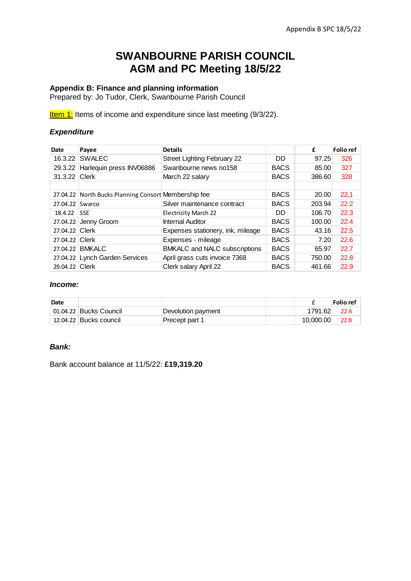# **SWANBOURNE PARISH COUNCIL AGM and PC Meeting 18/5/22**

### **Appendix B: Finance and planning information**

Prepared by: Jo Tudor, Clerk, Swanbourne Parish Council

**Item 1:** Items of income and expenditure since last meeting (9/3/22).

#### *Expenditure*

| Date            | Payee                                                | <b>Details</b>                       |             | £      | <b>Folio</b> ref |
|-----------------|------------------------------------------------------|--------------------------------------|-------------|--------|------------------|
| 16.3.22         | <b>SWALEC</b>                                        | <b>Street Lighting February 22</b>   | DD.         | 97.25  | 326              |
| 29.3.22         | Harlequin press INV06886                             | Swanbourne news no158                | <b>BACS</b> | 85.00  | 327              |
| 31.3.22 Clerk   |                                                      | March 22 salary                      | <b>BACS</b> | 386.60 | 328              |
|                 |                                                      |                                      |             |        |                  |
|                 | 27.04.22 North Bucks Planning Consort Membership fee |                                      | <b>BACS</b> | 20.00  | 22.1             |
| 27.04.22 Swarco |                                                      | Silver maintenance contract          | <b>BACS</b> | 203.94 | 22.2             |
| 18.4.22         | <b>SSE</b>                                           | <b>Electricity March 22</b>          | DD.         | 106.70 | 22.3             |
| 27.04.22        | Jenny Groom                                          | Internal Auditor                     | <b>BACS</b> | 100.00 | 22.4             |
| 27.04.22 Clerk  |                                                      | Expenses stationery, ink, mileage    | <b>BACS</b> | 43.16  | 22.5             |
| 27.04.22 Clerk  |                                                      | Expenses - mileage                   | <b>BACS</b> | 7.20   | 22.6             |
|                 | 27.04.22 BMKALC                                      | <b>BMKALC and NALC subscriptions</b> | <b>BACS</b> | 65.97  | 22.7             |
|                 | 27.04.22 Lynch Garden Services                       | April grass cuts invoice 7368        | <b>BACS</b> | 750.00 | 22.8             |
| 29.04.22 Clerk  |                                                      | Clerk salary April 22                | <b>BACS</b> | 461.66 | 22.9             |

#### *Income:*

| Date |                        |                    |           | Folio ref |
|------|------------------------|--------------------|-----------|-----------|
|      | 01.04.22 Bucks Council | Devolution payment | 1791.62   | 22 A      |
|      | 12.04.22 Bucks council | Precept part 1     | 10.000.00 | 22 B      |

#### *Bank:*

Bank account balance at 11/5/22: **£19,319.20**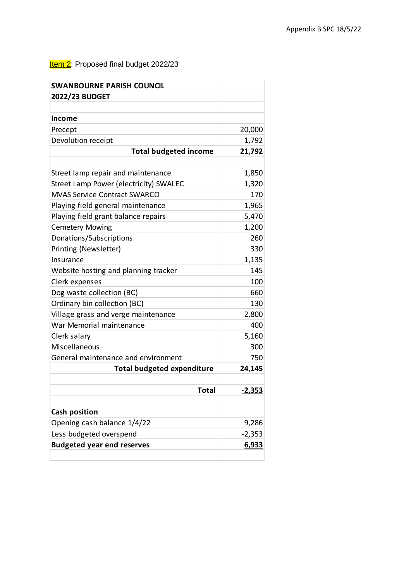## **Item 2:** Proposed final budget 2022/23

| <b>SWANBOURNE PARISH COUNCIL</b>       |          |
|----------------------------------------|----------|
| 2022/23 BUDGET                         |          |
|                                        |          |
| <b>Income</b>                          |          |
| Precept                                | 20,000   |
| Devolution receipt                     | 1,792    |
| <b>Total budgeted income</b>           | 21,792   |
|                                        |          |
| Street lamp repair and maintenance     | 1,850    |
| Street Lamp Power (electricity) SWALEC | 1,320    |
| <b>MVAS Service Contract SWARCO</b>    | 170      |
| Playing field general maintenance      | 1,965    |
| Playing field grant balance repairs    | 5,470    |
| <b>Cemetery Mowing</b>                 | 1,200    |
| Donations/Subscriptions                | 260      |
| Printing (Newsletter)                  | 330      |
| Insurance                              | 1,135    |
| Website hosting and planning tracker   | 145      |
| Clerk expenses                         | 100      |
| Dog waste collection (BC)              | 660      |
| Ordinary bin collection (BC)           | 130      |
| Village grass and verge maintenance    | 2,800    |
| War Memorial maintenance               | 400      |
| Clerk salary                           | 5,160    |
| Miscellaneous                          | 300      |
| General maintenance and environment    | 750      |
| <b>Total budgeted expenditure</b>      | 24,145   |
|                                        |          |
| Total                                  | $-2,353$ |
|                                        |          |
| <b>Cash position</b>                   |          |
| Opening cash balance 1/4/22            | 9,286    |
| Less budgeted overspend                | $-2,353$ |
| <b>Budgeted year end reserves</b>      | 6,933    |
|                                        |          |